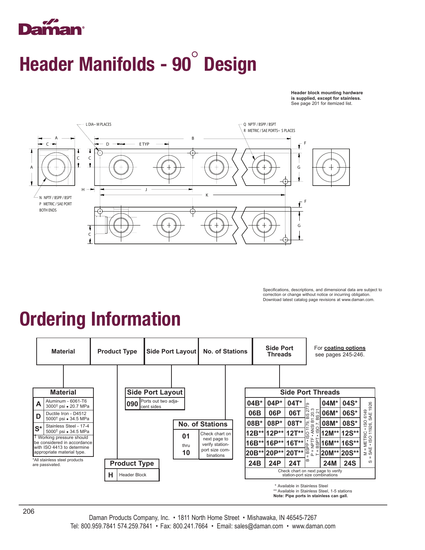## mar

## Header Manifolds - 90° Design

**Header block mounting hardware is supplied, except for stainless.** See page 201 for itemized list.



Specifications, descriptions, and dimensional data are subject to correction or change without notice or incurring obligation. Download latest catalog page revisions at www.daman.com.

## Ordering Information

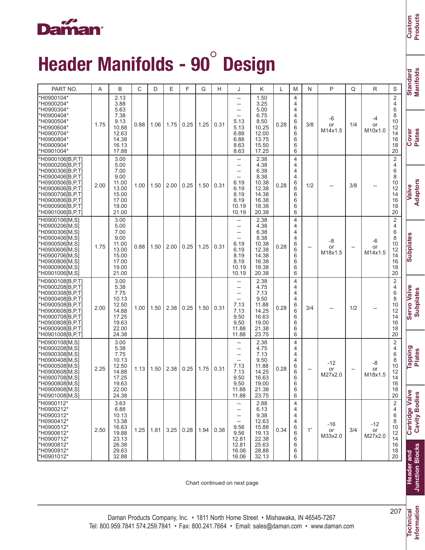#### **Daman**<sup>®</sup>

# Header Manifolds - 90° Design

| Manifolds<br><b>Standard</b> |          | Cover<br>Plates                                                                                                                                       | <b>Adaptors</b><br>Valve                                                                                                                                                                                  | Subplates                                                                                                                                                                          | <b>Servo Valve</b><br><b>Subplates</b>                                                                                                                                                               | <b>Tapping</b><br>Plates                                             |
|------------------------------|----------|-------------------------------------------------------------------------------------------------------------------------------------------------------|-----------------------------------------------------------------------------------------------------------------------------------------------------------------------------------------------------------|------------------------------------------------------------------------------------------------------------------------------------------------------------------------------------|------------------------------------------------------------------------------------------------------------------------------------------------------------------------------------------------------|----------------------------------------------------------------------|
| S                            |          | $\overline{c}$<br>4<br>6<br>8<br>10<br>12<br>14<br>16<br>18<br>20                                                                                     | $\overline{c}$<br>4<br>6<br>8<br>10<br>12<br>14<br>16<br>18<br>20                                                                                                                                         | $\overline{\mathbf{c}}$<br>4<br>6<br>8<br>10<br>12<br>14<br>16<br>18<br>20                                                                                                         | $\overline{c}$<br>4<br>6<br>8<br>10<br>12<br>14<br>16<br>18                                                                                                                                          | 20                                                                   |
| R                            |          | -4<br>or<br>M10x1.0                                                                                                                                   |                                                                                                                                                                                                           | -6<br>or<br>M14x1.5                                                                                                                                                                |                                                                                                                                                                                                      |                                                                      |
|                              | Q        | 1/4                                                                                                                                                   | 3/8                                                                                                                                                                                                       |                                                                                                                                                                                    | 1/2                                                                                                                                                                                                  |                                                                      |
|                              | P        | -6<br>or<br>M14x1.5                                                                                                                                   |                                                                                                                                                                                                           | -8<br>or<br>M18x1.5                                                                                                                                                                |                                                                                                                                                                                                      |                                                                      |
|                              | N        | 3/8                                                                                                                                                   | 1/2                                                                                                                                                                                                       | $\overline{\phantom{a}}$                                                                                                                                                           | 3/4                                                                                                                                                                                                  |                                                                      |
|                              | M        | $\overline{4}$<br>4<br>4<br>$\overline{4}$<br>6<br>6<br>6<br>6<br>6<br>6                                                                              | 4<br>4<br>4<br>$\overline{4}$<br>6<br>6<br>6<br>6<br>6<br>6                                                                                                                                               | $\overline{4}$<br>$\overline{4}$<br>4<br>4<br>6<br>6<br>6<br>6<br>6<br>6                                                                                                           | $\overline{4}$<br>4<br>4<br>$\overline{4}$<br>6<br>6<br>6<br>6                                                                                                                                       | 6<br>6                                                               |
|                              | L        | 0.28                                                                                                                                                  | 0.28                                                                                                                                                                                                      | 0.28                                                                                                                                                                               | 0.28                                                                                                                                                                                                 |                                                                      |
|                              | Κ        | 1.50<br>3.25<br>5.00<br>6.75<br>8.50<br>10.25<br>12.00<br>13.75<br>15.50<br>17.25                                                                     | 2.38<br>4.38<br>6.38<br>8.38<br>10.38<br>12.38<br>14.38<br>16.38<br>18.38<br>20.38                                                                                                                        | 2.38<br>4.38<br>6.38<br>8.38<br>10.38<br>12.38<br>14.38<br>16.38<br>18.38<br>20.38                                                                                                 | 2.38<br>4.75<br>7.13<br>9.50<br>11.88<br>14.25<br>16.63                                                                                                                                              | 19.00<br>21.38<br>23.75                                              |
|                              | J        | --<br>$\hspace{0.05cm} -\hspace{0.05cm} -\hspace{0.05cm}$<br>--<br>$\hspace{0.05cm}--\hspace{0.05cm}$<br>5.13<br>5.13<br>6.88<br>6.88<br>8.63<br>8.63 | $\hspace{0.05cm} -\hspace{0.05cm} -\hspace{0.05cm}$<br>$\hspace{0.05cm} -\hspace{0.05cm} -\hspace{0.05cm}$<br>$\hspace{0.05cm}--\hspace{0.05cm}$<br>$-$<br>6.19<br>6.19<br>8.19<br>8.19<br>10.19<br>10.19 | $\hspace{0.05cm}--\hspace{0.05cm}$<br>$\hspace{0.05cm}--\hspace{0.05cm}$<br>$\overline{\phantom{a}}$<br>$\overline{\phantom{a}}$<br>6.19<br>6.19<br>8.19<br>8.19<br>10.19<br>10.19 | $\hspace{0.05cm}--\hspace{0.05cm}$<br>$\hspace{0.05cm} -\hspace{0.05cm} -\hspace{0.05cm}$<br>$\overline{\phantom{a}}$<br>$\hspace{0.05cm} -\hspace{0.05cm} -\hspace{0.05cm}$<br>7.13<br>7.13<br>9.50 | 9.50<br>11.88<br>11.88                                               |
|                              | Н        | 0.31                                                                                                                                                  | 0.31                                                                                                                                                                                                      | 0.31                                                                                                                                                                               | 0.31                                                                                                                                                                                                 |                                                                      |
|                              | G        | 1.25                                                                                                                                                  | 1.50                                                                                                                                                                                                      | 1.25                                                                                                                                                                               | 1.50                                                                                                                                                                                                 |                                                                      |
|                              | F        | 0.25                                                                                                                                                  | 0.25                                                                                                                                                                                                      | 0.25                                                                                                                                                                               | 0.25                                                                                                                                                                                                 |                                                                      |
|                              | Е        | 1.75                                                                                                                                                  | 2.00                                                                                                                                                                                                      | 2.00                                                                                                                                                                               | 2.38                                                                                                                                                                                                 |                                                                      |
|                              | D        | 1.06                                                                                                                                                  | 1.50                                                                                                                                                                                                      | 1.50                                                                                                                                                                               | 1.50                                                                                                                                                                                                 |                                                                      |
|                              | C        | 0.88                                                                                                                                                  | 1.00                                                                                                                                                                                                      | 0.88                                                                                                                                                                               | 1.00                                                                                                                                                                                                 |                                                                      |
|                              | B        | 2.13<br>3.88<br>5.63<br>7.38<br>9.13<br>10.88<br>12.63<br>14.38<br>16.13<br>17.88                                                                     | 3.00<br>5.00<br>7.00<br>9.00<br>11.00<br>13.00<br>15.00<br>17.00<br>19.00<br>21.00                                                                                                                        | 3.00<br>5.00<br>7.00<br>9.00<br>11.00<br>13.00<br>15.00<br>17.00<br>19.00<br>21.00                                                                                                 | 3.00<br>5.38<br>7.75<br>10.13<br>12.50<br>14.88<br>17.25                                                                                                                                             | 19.63<br>22.00<br>24.38                                              |
|                              | A        | 1.75                                                                                                                                                  | 2.00                                                                                                                                                                                                      | 1.75                                                                                                                                                                               | 2.00                                                                                                                                                                                                 |                                                                      |
|                              | PART NO. | *H0900104*<br>*H0900204*<br>*H0900304*<br>*H0900404*<br>*H0900504*<br>*H0900604*<br>*H0900704*<br>*H0900804*<br>*H0900904*<br>*H0901004*              | *H0900106[B,P,T]<br>*H0900206[B,P,T]<br>*H0900306[B,P,T]<br>*H0900406[B,P,T]<br>*H0900506[B,P,T]<br>*H0900606[B,P,T]<br>*H0900706[B,P,T]<br>*H0900806[B,P,T]<br>*H0900906[B,P,T]<br>*H0901006[B,P,T]      | *H0900106[M,S]<br>*H0900206[M,S]<br>*H0900306[M,S]<br>*H0900406[M,S]<br>*H0900506[M,S]<br>*H0900606IM.SI<br>*H0900706[M,S]<br>*H0900806[M,S]<br>*H0900906[M.S]<br>*H0901006[M,S]   | *H0900108[B,P,T]<br>*H0900208[B,P,T]<br>*H0900308 <sup>[B,P,T]</sup><br>*H0900408[B,P,T]<br>*H0900508[B,P,T]<br>*H0900608[B,P,T]<br>*H0900708[B,P,T]                                                 | *H0900808[B,P,T]<br>*H0900908 <sup>[B,P,T]</sup><br>*H0901008[B,P,T] |

Chart continued on next page

**Information**

Technical<br>Information 207 **Technical**

**Custom Products**

lard<br>olds